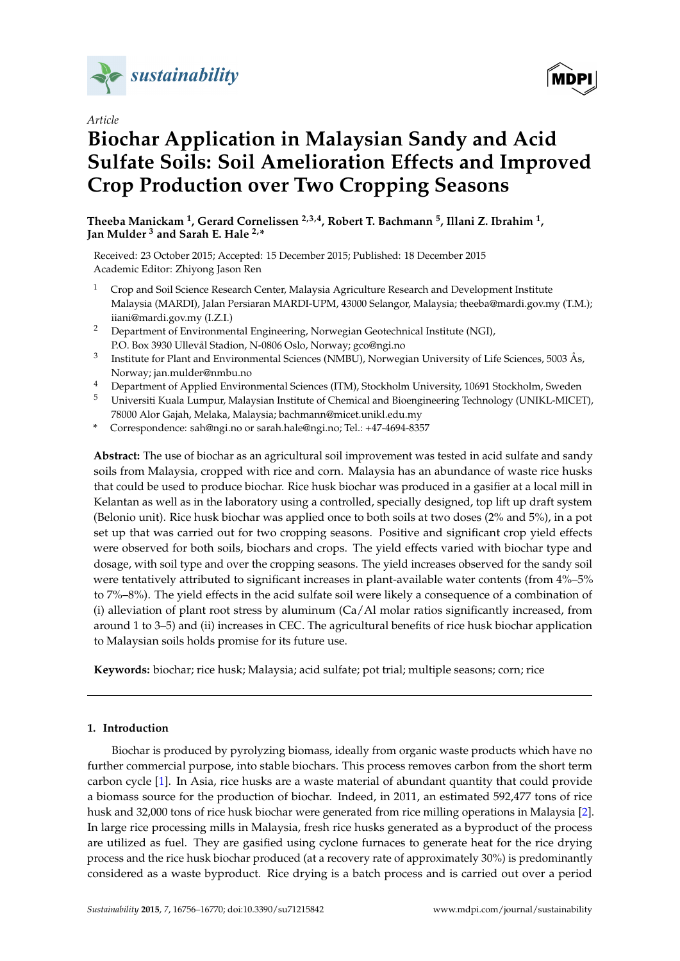

*Article*

# **MDPI**

## **Biochar Application in Malaysian Sandy and Acid Sulfate Soils: Soil Amelioration Effects and Improved Crop Production over Two Cropping Seasons**

**Theeba Manickam <sup>1</sup> , Gerard Cornelissen 2,3,4, Robert T. Bachmann <sup>5</sup> , Illani Z. Ibrahim <sup>1</sup> , Jan Mulder <sup>3</sup> and Sarah E. Hale 2,\***

Received: 23 October 2015; Accepted: 15 December 2015; Published: 18 December 2015 Academic Editor: Zhiyong Jason Ren

- <sup>1</sup> Crop and Soil Science Research Center, Malaysia Agriculture Research and Development Institute Malaysia (MARDI), Jalan Persiaran MARDI-UPM, 43000 Selangor, Malaysia; theeba@mardi.gov.my (T.M.); iiani@mardi.gov.my (I.Z.I.)
- <sup>2</sup> Department of Environmental Engineering, Norwegian Geotechnical Institute (NGI), P.O. Box 3930 Ullevål Stadion, N-0806 Oslo, Norway; gco@ngi.no
- 3 Institute for Plant and Environmental Sciences (NMBU), Norwegian University of Life Sciences, 5003 Ås, Norway; jan.mulder@nmbu.no
- <sup>4</sup> Department of Applied Environmental Sciences (ITM), Stockholm University, 10691 Stockholm, Sweden
- <sup>5</sup> Universiti Kuala Lumpur, Malaysian Institute of Chemical and Bioengineering Technology (UNIKL-MICET), 78000 Alor Gajah, Melaka, Malaysia; bachmann@micet.unikl.edu.my
- **\*** Correspondence: sah@ngi.no or sarah.hale@ngi.no; Tel.: +47-4694-8357

**Abstract:** The use of biochar as an agricultural soil improvement was tested in acid sulfate and sandy soils from Malaysia, cropped with rice and corn. Malaysia has an abundance of waste rice husks that could be used to produce biochar. Rice husk biochar was produced in a gasifier at a local mill in Kelantan as well as in the laboratory using a controlled, specially designed, top lift up draft system (Belonio unit). Rice husk biochar was applied once to both soils at two doses (2% and 5%), in a pot set up that was carried out for two cropping seasons. Positive and significant crop yield effects were observed for both soils, biochars and crops. The yield effects varied with biochar type and dosage, with soil type and over the cropping seasons. The yield increases observed for the sandy soil were tentatively attributed to significant increases in plant-available water contents (from 4%–5% to 7%–8%). The yield effects in the acid sulfate soil were likely a consequence of a combination of (i) alleviation of plant root stress by aluminum  $(Ca/Al$  molar ratios significantly increased, from around 1 to 3–5) and (ii) increases in CEC. The agricultural benefits of rice husk biochar application to Malaysian soils holds promise for its future use.

**Keywords:** biochar; rice husk; Malaysia; acid sulfate; pot trial; multiple seasons; corn; rice

## **1. Introduction**

Biochar is produced by pyrolyzing biomass, ideally from organic waste products which have no further commercial purpose, into stable biochars. This process removes carbon from the short term carbon cycle [\[1\]](#page-13-0). In Asia, rice husks are a waste material of abundant quantity that could provide a biomass source for the production of biochar. Indeed, in 2011, an estimated 592,477 tons of rice husk and 32,000 tons of rice husk biochar were generated from rice milling operations in Malaysia [\[2\]](#page-13-1). In large rice processing mills in Malaysia, fresh rice husks generated as a byproduct of the process are utilized as fuel. They are gasified using cyclone furnaces to generate heat for the rice drying process and the rice husk biochar produced (at a recovery rate of approximately 30%) is predominantly considered as a waste byproduct. Rice drying is a batch process and is carried out over a period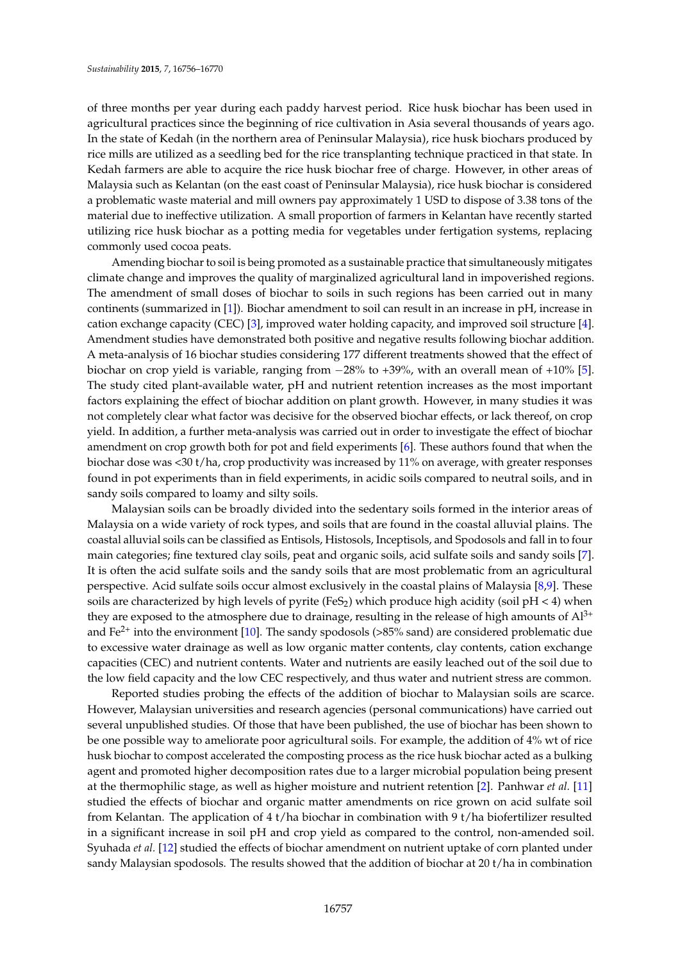of three months per year during each paddy harvest period. Rice husk biochar has been used in agricultural practices since the beginning of rice cultivation in Asia several thousands of years ago. In the state of Kedah (in the northern area of Peninsular Malaysia), rice husk biochars produced by rice mills are utilized as a seedling bed for the rice transplanting technique practiced in that state. In Kedah farmers are able to acquire the rice husk biochar free of charge. However, in other areas of Malaysia such as Kelantan (on the east coast of Peninsular Malaysia), rice husk biochar is considered a problematic waste material and mill owners pay approximately 1 USD to dispose of 3.38 tons of the material due to ineffective utilization. A small proportion of farmers in Kelantan have recently started utilizing rice husk biochar as a potting media for vegetables under fertigation systems, replacing commonly used cocoa peats.

Amending biochar to soil is being promoted as a sustainable practice that simultaneously mitigates climate change and improves the quality of marginalized agricultural land in impoverished regions. The amendment of small doses of biochar to soils in such regions has been carried out in many continents (summarized in [\[1\]](#page-13-0)). Biochar amendment to soil can result in an increase in pH, increase in cation exchange capacity (CEC) [\[3\]](#page-13-2), improved water holding capacity, and improved soil structure [\[4\]](#page-13-3). Amendment studies have demonstrated both positive and negative results following biochar addition. A meta-analysis of 16 biochar studies considering 177 different treatments showed that the effect of biochar on crop yield is variable, ranging from  $-28\%$  to  $+39\%$ , with an overall mean of  $+10\%$  [\[5\]](#page-13-4). The study cited plant-available water, pH and nutrient retention increases as the most important factors explaining the effect of biochar addition on plant growth. However, in many studies it was not completely clear what factor was decisive for the observed biochar effects, or lack thereof, on crop yield. In addition, a further meta-analysis was carried out in order to investigate the effect of biochar amendment on crop growth both for pot and field experiments [\[6\]](#page-13-5). These authors found that when the biochar dose was <30 t/ha, crop productivity was increased by 11% on average, with greater responses found in pot experiments than in field experiments, in acidic soils compared to neutral soils, and in sandy soils compared to loamy and silty soils.

Malaysian soils can be broadly divided into the sedentary soils formed in the interior areas of Malaysia on a wide variety of rock types, and soils that are found in the coastal alluvial plains. The coastal alluvial soils can be classified as Entisols, Histosols, Inceptisols, and Spodosols and fall in to four main categories; fine textured clay soils, peat and organic soils, acid sulfate soils and sandy soils [\[7\]](#page-13-6). It is often the acid sulfate soils and the sandy soils that are most problematic from an agricultural perspective. Acid sulfate soils occur almost exclusively in the coastal plains of Malaysia [\[8](#page-13-7)[,9\]](#page-13-8). These soils are characterized by high levels of pyrite (FeS<sub>2</sub>) which produce high acidity (soil  $pH < 4$ ) when they are exposed to the atmosphere due to drainage, resulting in the release of high amounts of  $Al^{3+}$ and  $Fe<sup>2+</sup>$  into the environment [\[10\]](#page-13-9). The sandy spodosols (>85% sand) are considered problematic due to excessive water drainage as well as low organic matter contents, clay contents, cation exchange capacities (CEC) and nutrient contents. Water and nutrients are easily leached out of the soil due to the low field capacity and the low CEC respectively, and thus water and nutrient stress are common.

Reported studies probing the effects of the addition of biochar to Malaysian soils are scarce. However, Malaysian universities and research agencies (personal communications) have carried out several unpublished studies. Of those that have been published, the use of biochar has been shown to be one possible way to ameliorate poor agricultural soils. For example, the addition of 4% wt of rice husk biochar to compost accelerated the composting process as the rice husk biochar acted as a bulking agent and promoted higher decomposition rates due to a larger microbial population being present at the thermophilic stage, as well as higher moisture and nutrient retention [\[2\]](#page-13-1). Panhwar *et al.* [\[11\]](#page-13-10) studied the effects of biochar and organic matter amendments on rice grown on acid sulfate soil from Kelantan. The application of 4 t/ha biochar in combination with 9 t/ha biofertilizer resulted in a significant increase in soil pH and crop yield as compared to the control, non-amended soil. Syuhada *et al.* [\[12\]](#page-13-11) studied the effects of biochar amendment on nutrient uptake of corn planted under sandy Malaysian spodosols. The results showed that the addition of biochar at 20 t/ha in combination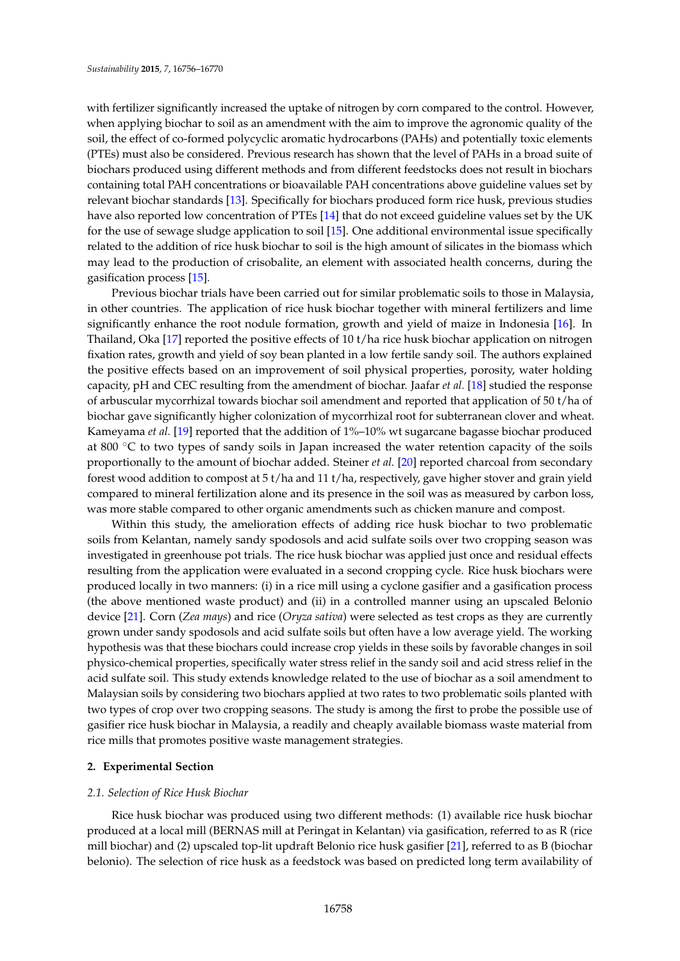with fertilizer significantly increased the uptake of nitrogen by corn compared to the control. However, when applying biochar to soil as an amendment with the aim to improve the agronomic quality of the soil, the effect of co-formed polycyclic aromatic hydrocarbons (PAHs) and potentially toxic elements (PTEs) must also be considered. Previous research has shown that the level of PAHs in a broad suite of biochars produced using different methods and from different feedstocks does not result in biochars containing total PAH concentrations or bioavailable PAH concentrations above guideline values set by relevant biochar standards [\[13\]](#page-13-12). Specifically for biochars produced form rice husk, previous studies have also reported low concentration of PTEs [\[14\]](#page-13-13) that do not exceed guideline values set by the UK for the use of sewage sludge application to soil [\[15\]](#page-13-14). One additional environmental issue specifically related to the addition of rice husk biochar to soil is the high amount of silicates in the biomass which may lead to the production of crisobalite, an element with associated health concerns, during the gasification process [\[15\]](#page-13-14).

Previous biochar trials have been carried out for similar problematic soils to those in Malaysia, in other countries. The application of rice husk biochar together with mineral fertilizers and lime significantly enhance the root nodule formation, growth and yield of maize in Indonesia [\[16\]](#page-13-15). In Thailand, Oka [\[17\]](#page-13-16) reported the positive effects of 10 t/ha rice husk biochar application on nitrogen fixation rates, growth and yield of soy bean planted in a low fertile sandy soil. The authors explained the positive effects based on an improvement of soil physical properties, porosity, water holding capacity, pH and CEC resulting from the amendment of biochar. Jaafar *et al.* [\[18\]](#page-13-17) studied the response of arbuscular mycorrhizal towards biochar soil amendment and reported that application of 50 t/ha of biochar gave significantly higher colonization of mycorrhizal root for subterranean clover and wheat. Kameyama *et al.* [\[19\]](#page-13-18) reported that the addition of 1%–10% wt sugarcane bagasse biochar produced at 800  $\degree$ C to two types of sandy soils in Japan increased the water retention capacity of the soils proportionally to the amount of biochar added. Steiner *et al.* [\[20\]](#page-14-0) reported charcoal from secondary forest wood addition to compost at 5 t/ha and 11 t/ha, respectively, gave higher stover and grain yield compared to mineral fertilization alone and its presence in the soil was as measured by carbon loss, was more stable compared to other organic amendments such as chicken manure and compost.

Within this study, the amelioration effects of adding rice husk biochar to two problematic soils from Kelantan, namely sandy spodosols and acid sulfate soils over two cropping season was investigated in greenhouse pot trials. The rice husk biochar was applied just once and residual effects resulting from the application were evaluated in a second cropping cycle. Rice husk biochars were produced locally in two manners: (i) in a rice mill using a cyclone gasifier and a gasification process (the above mentioned waste product) and (ii) in a controlled manner using an upscaled Belonio device [\[21\]](#page-14-1). Corn (*Zea mays*) and rice (*Oryza sativa*) were selected as test crops as they are currently grown under sandy spodosols and acid sulfate soils but often have a low average yield. The working hypothesis was that these biochars could increase crop yields in these soils by favorable changes in soil physico-chemical properties, specifically water stress relief in the sandy soil and acid stress relief in the acid sulfate soil. This study extends knowledge related to the use of biochar as a soil amendment to Malaysian soils by considering two biochars applied at two rates to two problematic soils planted with two types of crop over two cropping seasons. The study is among the first to probe the possible use of gasifier rice husk biochar in Malaysia, a readily and cheaply available biomass waste material from rice mills that promotes positive waste management strategies.

## **2. Experimental Section**

## *2.1. Selection of Rice Husk Biochar*

Rice husk biochar was produced using two different methods: (1) available rice husk biochar produced at a local mill (BERNAS mill at Peringat in Kelantan) via gasification, referred to as R (rice mill biochar) and (2) upscaled top-lit updraft Belonio rice husk gasifier [\[21\]](#page-14-1), referred to as B (biochar belonio). The selection of rice husk as a feedstock was based on predicted long term availability of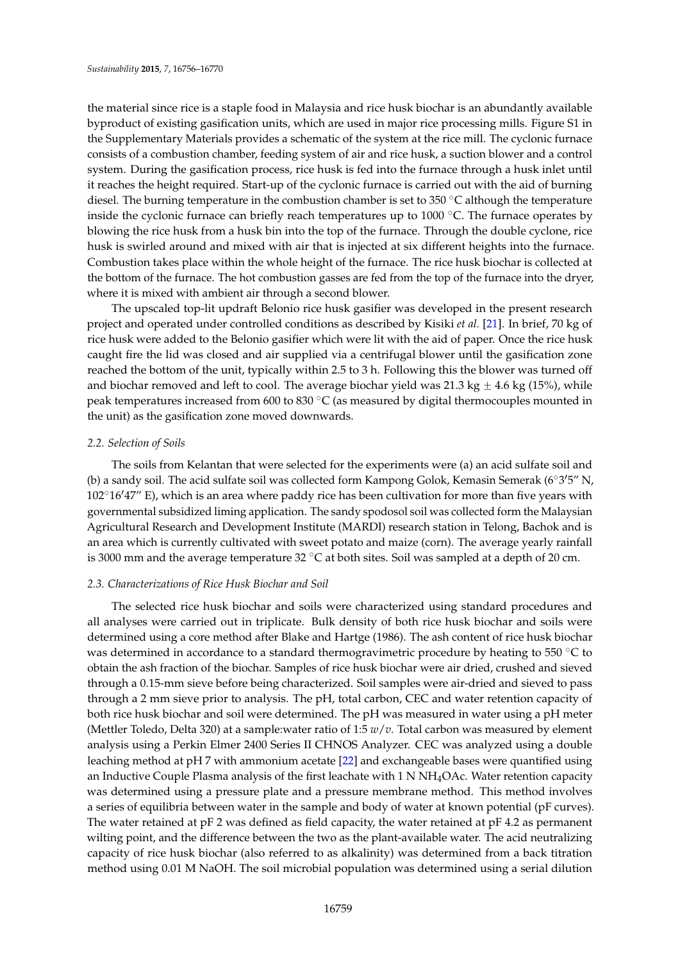the material since rice is a staple food in Malaysia and rice husk biochar is an abundantly available byproduct of existing gasification units, which are used in major rice processing mills. Figure S1 in the Supplementary Materials provides a schematic of the system at the rice mill. The cyclonic furnace consists of a combustion chamber, feeding system of air and rice husk, a suction blower and a control system. During the gasification process, rice husk is fed into the furnace through a husk inlet until it reaches the height required. Start-up of the cyclonic furnace is carried out with the aid of burning diesel. The burning temperature in the combustion chamber is set to 350  $^{\circ}$ C although the temperature inside the cyclonic furnace can briefly reach temperatures up to  $1000$   $^{\circ}$ C. The furnace operates by blowing the rice husk from a husk bin into the top of the furnace. Through the double cyclone, rice husk is swirled around and mixed with air that is injected at six different heights into the furnace. Combustion takes place within the whole height of the furnace. The rice husk biochar is collected at the bottom of the furnace. The hot combustion gasses are fed from the top of the furnace into the dryer, where it is mixed with ambient air through a second blower.

The upscaled top-lit updraft Belonio rice husk gasifier was developed in the present research project and operated under controlled conditions as described by Kisiki *et al.* [\[21\]](#page-14-1). In brief, 70 kg of rice husk were added to the Belonio gasifier which were lit with the aid of paper. Once the rice husk caught fire the lid was closed and air supplied via a centrifugal blower until the gasification zone reached the bottom of the unit, typically within 2.5 to 3 h. Following this the blower was turned off and biochar removed and left to cool. The average biochar yield was  $21.3 \text{ kg} \pm 4.6 \text{ kg}$  (15%), while peak temperatures increased from 600 to 830  $^{\circ}$ C (as measured by digital thermocouples mounted in the unit) as the gasification zone moved downwards.

## *2.2. Selection of Soils*

The soils from Kelantan that were selected for the experiments were (a) an acid sulfate soil and (b) a sandy soil. The acid sulfate soil was collected form Kampong Golok, Kemasin Semerak ( $6^{\circ}3'5''$  N,  $102^{\circ}16'47''$  E), which is an area where paddy rice has been cultivation for more than five years with governmental subsidized liming application. The sandy spodosol soil was collected form the Malaysian Agricultural Research and Development Institute (MARDI) research station in Telong, Bachok and is an area which is currently cultivated with sweet potato and maize (corn). The average yearly rainfall is 3000 mm and the average temperature  $32^{\circ}$ C at both sites. Soil was sampled at a depth of 20 cm.

## *2.3. Characterizations of Rice Husk Biochar and Soil*

The selected rice husk biochar and soils were characterized using standard procedures and all analyses were carried out in triplicate. Bulk density of both rice husk biochar and soils were determined using a core method after Blake and Hartge (1986). The ash content of rice husk biochar was determined in accordance to a standard thermogravimetric procedure by heating to 550  $^{\circ}$ C to obtain the ash fraction of the biochar. Samples of rice husk biochar were air dried, crushed and sieved through a 0.15-mm sieve before being characterized. Soil samples were air-dried and sieved to pass through a 2 mm sieve prior to analysis. The pH, total carbon, CEC and water retention capacity of both rice husk biochar and soil were determined. The pH was measured in water using a pH meter (Mettler Toledo, Delta 320) at a sample:water ratio of 1:5 *w*/*v*. Total carbon was measured by element analysis using a Perkin Elmer 2400 Series II CHNOS Analyzer. CEC was analyzed using a double leaching method at pH 7 with ammonium acetate [\[22\]](#page-14-2) and exchangeable bases were quantified using an Inductive Couple Plasma analysis of the first leachate with 1 N NH4OAc. Water retention capacity was determined using a pressure plate and a pressure membrane method. This method involves a series of equilibria between water in the sample and body of water at known potential (pF curves). The water retained at pF 2 was defined as field capacity, the water retained at pF 4.2 as permanent wilting point, and the difference between the two as the plant-available water. The acid neutralizing capacity of rice husk biochar (also referred to as alkalinity) was determined from a back titration method using 0.01 M NaOH. The soil microbial population was determined using a serial dilution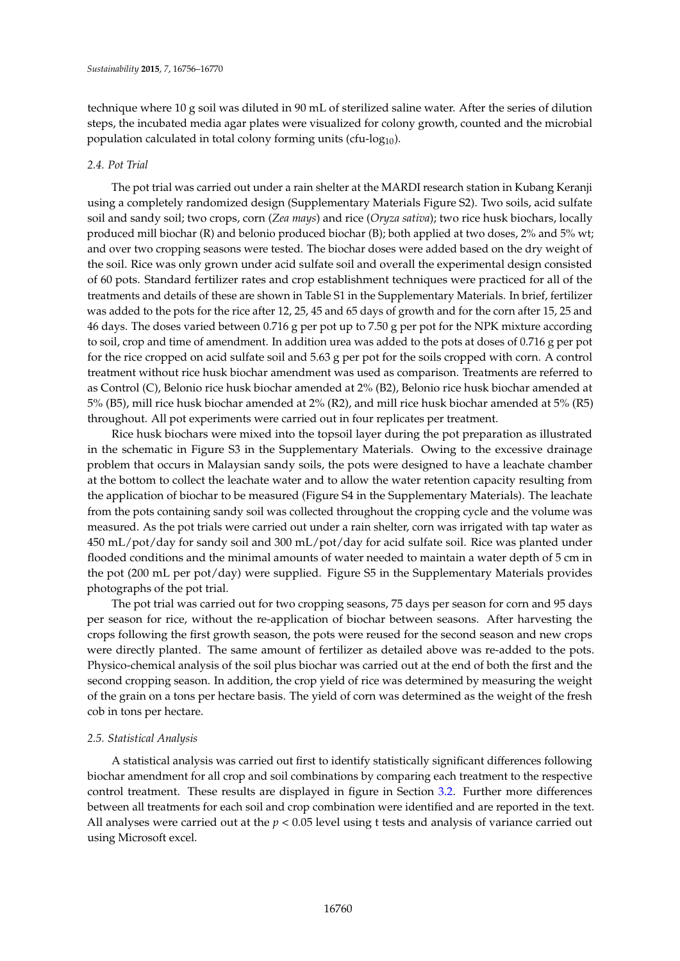technique where 10 g soil was diluted in 90 mL of sterilized saline water. After the series of dilution steps, the incubated media agar plates were visualized for colony growth, counted and the microbial population calculated in total colony forming units (cfu-log $_{10}$ ).

## *2.4. Pot Trial*

The pot trial was carried out under a rain shelter at the MARDI research station in Kubang Keranji using a completely randomized design (Supplementary Materials Figure S2). Two soils, acid sulfate soil and sandy soil; two crops, corn (*Zea mays*) and rice (*Oryza sativa*); two rice husk biochars, locally produced mill biochar (R) and belonio produced biochar (B); both applied at two doses, 2% and 5% wt; and over two cropping seasons were tested. The biochar doses were added based on the dry weight of the soil. Rice was only grown under acid sulfate soil and overall the experimental design consisted of 60 pots. Standard fertilizer rates and crop establishment techniques were practiced for all of the treatments and details of these are shown in Table S1 in the Supplementary Materials. In brief, fertilizer was added to the pots for the rice after 12, 25, 45 and 65 days of growth and for the corn after 15, 25 and 46 days. The doses varied between 0.716 g per pot up to 7.50 g per pot for the NPK mixture according to soil, crop and time of amendment. In addition urea was added to the pots at doses of 0.716 g per pot for the rice cropped on acid sulfate soil and 5.63 g per pot for the soils cropped with corn. A control treatment without rice husk biochar amendment was used as comparison. Treatments are referred to as Control (C), Belonio rice husk biochar amended at 2% (B2), Belonio rice husk biochar amended at 5% (B5), mill rice husk biochar amended at 2% (R2), and mill rice husk biochar amended at 5% (R5) throughout. All pot experiments were carried out in four replicates per treatment.

Rice husk biochars were mixed into the topsoil layer during the pot preparation as illustrated in the schematic in Figure S3 in the Supplementary Materials. Owing to the excessive drainage problem that occurs in Malaysian sandy soils, the pots were designed to have a leachate chamber at the bottom to collect the leachate water and to allow the water retention capacity resulting from the application of biochar to be measured (Figure S4 in the Supplementary Materials). The leachate from the pots containing sandy soil was collected throughout the cropping cycle and the volume was measured. As the pot trials were carried out under a rain shelter, corn was irrigated with tap water as 450 mL/pot/day for sandy soil and 300 mL/pot/day for acid sulfate soil. Rice was planted under flooded conditions and the minimal amounts of water needed to maintain a water depth of 5 cm in the pot (200 mL per pot/day) were supplied. Figure S5 in the Supplementary Materials provides photographs of the pot trial.

The pot trial was carried out for two cropping seasons, 75 days per season for corn and 95 days per season for rice, without the re-application of biochar between seasons. After harvesting the crops following the first growth season, the pots were reused for the second season and new crops were directly planted. The same amount of fertilizer as detailed above was re-added to the pots. Physico-chemical analysis of the soil plus biochar was carried out at the end of both the first and the second cropping season. In addition, the crop yield of rice was determined by measuring the weight of the grain on a tons per hectare basis. The yield of corn was determined as the weight of the fresh cob in tons per hectare.

## *2.5. Statistical Analysis*

A statistical analysis was carried out first to identify statistically significant differences following biochar amendment for all crop and soil combinations by comparing each treatment to the respective control treatment. These results are displayed in figure in Section [3.2.](#page-7-0) Further more differences between all treatments for each soil and crop combination were identified and are reported in the text. All analyses were carried out at the *p* < 0.05 level using t tests and analysis of variance carried out using Microsoft excel.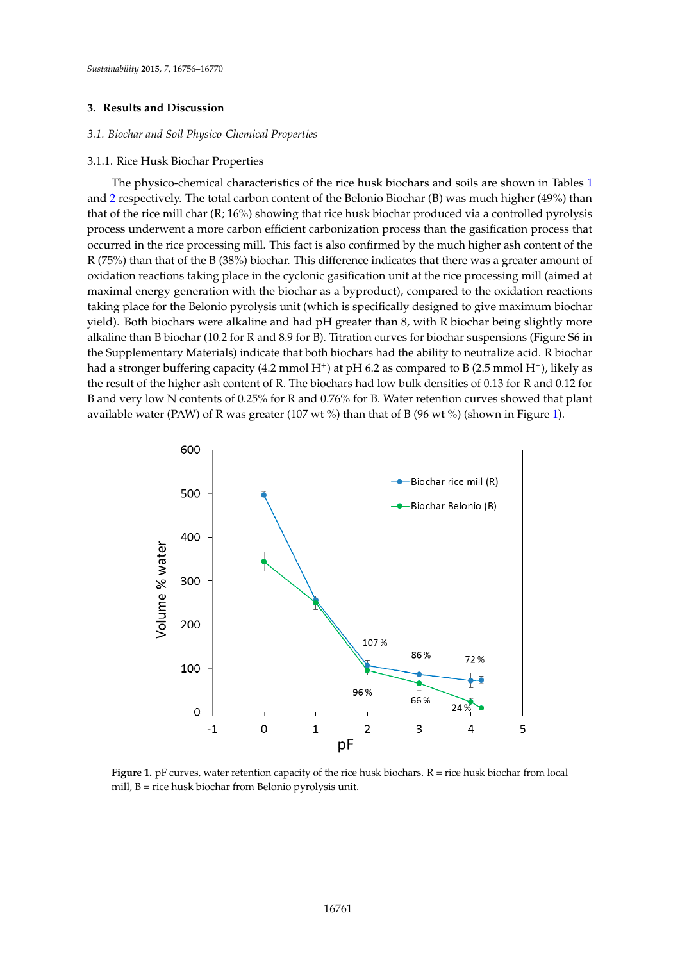## **3. Results and Discussion**

## *3.1. Biochar and Soil Physico-Chemical Properties*

#### 3.1.1. Rice Husk Biochar Properties  $\frac{3}{2}$

The physico-chemical characteristics of the rice husk biochars and soils are shown in Tables [1](#page-6-0) and [2](#page-6-1) respectively. The total carbon content of the Belonio Biochar (B) was much higher (49%) than that of the rice mill char  $(R; 16\%)$  showing that rice husk biochar produced via a controlled pyrolysis that if  $\alpha$ process underwent a more carbon efficient carbonization process than the gasification process that occurred in the rice processing mill. This fact is also confirmed by the much higher ash content of the B (35%) than  $\overline{B}$  (38%) biochar. This difference indicates that the set of the set of the set of the set of the se  $R(75%)$  than that of the B (38%) biochar. This difference indicates that there was a greater amount of oxidation reactions taking place in the cyclonic gasification unit at the rice processing mill (aimed at maximal energy generation with the biochar as a byproduct), compared to the oxidation reactions which is specifically designed to the oxidation reactions taking place for the Belonio pyrolysis unit (which is specifically designed to give maximum biochar biochar being slightly more and had put than 8, with R biochar being slightly more slightly more slightly more slightly mo yield). Both biochars were alkaline and had pH greater than 8, with R biochar being slightly more<br>all than B biochars were alkaline and had pH greater than 8, with R biochar being slightly more alkaline than B biochar (10.2 for R and 8.9 for B). Titration curves for biochar suspensions (Figure S6 in the Supplementary Materials) indicate that both biochars had the ability to neutralize acid. R biochar to B (2.5 mmol H+), at pH 6.2 as compared to B (2.5 mmol H+), and H+), and H+  $\alpha$  (2.5 mmol H+), and H+), and H+ (2.5 had a stronger buffering capacity  $(4.2 \text{ mmol H}^+)$  at pH 6.2 as compared to B  $(2.5 \text{ mmol H}^+)$ , likely as the result of the higher ash content of R. The biochars had low bulk densities of 0.13 for R and 0.12 for  $\overline{R}$ B and very low N contents of 0.25% for R and 0.76% for B. Water retention curves showed that plant  $\frac{1}{100}$  of R was greater (107 wt  $\frac{1}{100}$ ) (shown in Times) (shown in Times) (shown in Times) available water (PAW) of R was greater (107 wt %) than that of B (96 wt %) (shown in Figure [1\)](#page-5-0). Figure 1). The physico-chemical characteristics of the rice husk biochars and soils are shown in Tables 1 and 2, respectively. The total characteristics of the He Husk biochars and soms are shown in Tables I

<span id="page-5-0"></span>

**Figure 1.** pF curves, water retention capacity of the rice husk biochars. R = rice husk biochar from local mill, B = rice husk biochar from Belonio pyrolysis unit.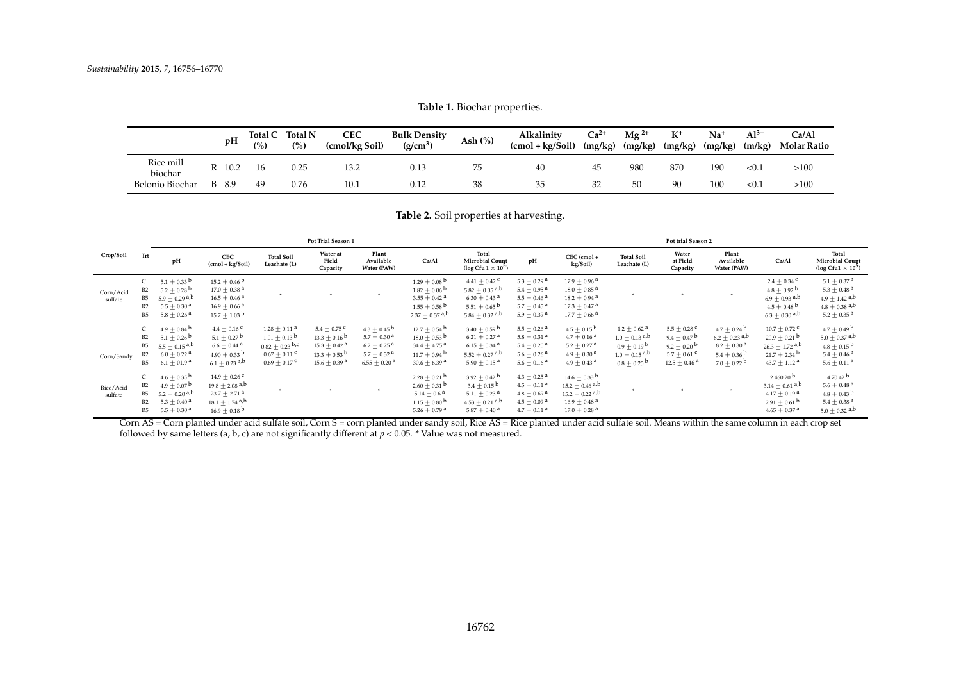**Table 1.** Biochar properties.

|                      |   | pH     | Total C<br>(%) | <b>Total N</b><br>(%) | <b>CEC</b><br>(cmol/kg Soil) | <b>Bulk Density</b><br>$(g/cm^3)$ | Ash $(\%)$ | Alkalinity<br>$(cmol + kg/Soil)$ | $Ca2+$<br>(mg/kg) | $Mg^{2+}$<br>(mg/kg) | $K^+$<br>(mg/kg) | $Na+$<br>(mg/kg) | $Al^{3+}$<br>(m/kg) | Ca/A1<br>Molar Ratio |
|----------------------|---|--------|----------------|-----------------------|------------------------------|-----------------------------------|------------|----------------------------------|-------------------|----------------------|------------------|------------------|---------------------|----------------------|
| Rice mill<br>biochar |   | R 10.2 | 16             | 0.25                  | 13.2                         | 0.13                              |            | 40                               | 45                | 980                  | 870              | 190              | < 0.1               | >100                 |
| Belonio Biochar      | B | 8.9    | 49             | 0.76                  | 10.1                         | 0.12                              | 38         | 35                               | 32                | 50                   | 90               | 100              | < 0.1               | >100                 |

**Table 2.** Soil properties at harvesting.

|                      |                                       |                                                                                                                                                           |                                                                                                                                                 |                                                                                                                  | Pot Trial Season 1                                                                                                         |                                                                                                                                                          | Pot trial Season 2                                                                                                                 |                                                                                                                                                                |                                                                                                                                                         |                                                                                                                                                              |                                                                                                                                              |                                                                                                                                               |                                                                                                                                     |                                                                                                                                                         |                                                                                                                                                           |
|----------------------|---------------------------------------|-----------------------------------------------------------------------------------------------------------------------------------------------------------|-------------------------------------------------------------------------------------------------------------------------------------------------|------------------------------------------------------------------------------------------------------------------|----------------------------------------------------------------------------------------------------------------------------|----------------------------------------------------------------------------------------------------------------------------------------------------------|------------------------------------------------------------------------------------------------------------------------------------|----------------------------------------------------------------------------------------------------------------------------------------------------------------|---------------------------------------------------------------------------------------------------------------------------------------------------------|--------------------------------------------------------------------------------------------------------------------------------------------------------------|----------------------------------------------------------------------------------------------------------------------------------------------|-----------------------------------------------------------------------------------------------------------------------------------------------|-------------------------------------------------------------------------------------------------------------------------------------|---------------------------------------------------------------------------------------------------------------------------------------------------------|-----------------------------------------------------------------------------------------------------------------------------------------------------------|
| Crop/Soil            | Trt                                   | pH                                                                                                                                                        | <b>CEC</b><br>$(cmol + kg/Soil)$                                                                                                                | <b>Total Soil</b><br>Leachate (L)                                                                                | Water at<br>Field<br>Capacity                                                                                              | Plant<br>Available<br>Water (PAW)                                                                                                                        | Ca/Al                                                                                                                              | Total<br><b>Microbial Count</b><br>(log Cfu $1 \times 10^5$ )                                                                                                  | pH                                                                                                                                                      | CEC (cmol +<br>kg/Soil)                                                                                                                                      | <b>Total Soil</b><br>Leachate (L)                                                                                                            | Water<br>at Field<br>Capacity                                                                                                                 | Plant<br>Available<br>Water (PAW)                                                                                                   | Ca/Al                                                                                                                                                   | Total<br><b>Microbial Count</b><br>(log Cfu1 $\times$ 10 <sup>5</sup> )                                                                                   |
| Corn/Acid<br>sulfate | B2<br><b>B5</b><br>R2<br>R5           | 5.1 $\pm$ 0.33 <sup>b</sup><br>5.2 $\pm$ 0.28 <sup>b</sup><br>$5.9 \pm 0.29$ <sup>a,b</sup><br>$5.5 \pm 0.30$ <sup>a</sup><br>$5.8 \pm 0.26$ <sup>a</sup> | $15.2 \pm 0.46$ b<br>$17.0 \pm 0.38$ <sup>a</sup><br>$16.5 \pm 0.46$ <sup>a</sup><br>$16.9 + 0.66$ <sup>a</sup><br>$15.7 \pm 1.03^{\mathrm{b}}$ |                                                                                                                  |                                                                                                                            |                                                                                                                                                          | $1.29 \pm 0.08$ b<br>$1.82 \pm 0.06$ b<br>3.55 $\pm$ 0.42 <sup>a</sup><br>$1.55 \pm 0.58$ b<br>$2.37 \pm 0.37$ <sup>a,b</sup>      | 4.41 $\pm$ 0.42 <sup>c</sup><br>$5.82 + 0.05$ <sup>a,b</sup><br>$6.30 \pm 0.43$ <sup>a</sup><br>5.51 $\pm$ 0.65 <sup>b</sup><br>5.84 $\pm$ 0.32 <sup>a,b</sup> | $5.3 \pm 0.29$ <sup>a</sup><br>$5.4 \pm 0.95$ <sup>a</sup><br>$5.5 \pm 0.46$ <sup>a</sup><br>$5.7 \pm 0.45$ <sup>a</sup><br>$5.9 \pm 0.39$ <sup>a</sup> | $17.9 \pm 0.96$ <sup>a</sup><br>$18.0 \pm 0.85$ <sup>a</sup><br>$18.2 \pm 0.94$ <sup>a</sup><br>$17.3 \pm 0.47$ <sup>a</sup><br>$17.7 \pm 0.66$ <sup>a</sup> |                                                                                                                                              |                                                                                                                                               |                                                                                                                                     | 2.4 $\pm$ 0.34 <sup>c</sup><br>$4.8 \pm 0.92$ b<br>$6.9 \pm 0.93$ <sup>a,b</sup><br>$4.5 \pm 0.48$ b<br>$6.3 \pm 0.30$ a,b                              | $5.1 \pm 0.37$ <sup>a</sup><br>$5.3 \pm 0.48$ <sup>a</sup><br>$4.9 \pm 1.42$ <sup>a,b</sup><br>$4.8 + 0.38$ <sup>a,b</sup><br>$5.2 \pm 0.35$ <sup>a</sup> |
| Corn/Sandy           | C<br>B <sub>2</sub><br>B5<br>R2<br>R5 | $4.9 \pm 0.84^{\mathrm{b}}$<br>$5.1 \pm 0.26$ b<br>$5.5 \pm 0.15$ <sup>a,b</sup><br>$6.0 \pm 0.22$ <sup>a</sup><br>$6.1 \pm 01.9^{\text{ a}}$             | 4.4 $\pm$ 0.16 <sup>c</sup><br>5.1 $\pm$ 0.27 <sup>b</sup><br>$6.6 \pm 0.44$ <sup>a</sup><br>$4.90 + 0.33^{b}$<br>$6.1 + 0.23$ <sup>a,b</sup>   | $1.28 \pm 0.11$ <sup>a</sup><br>$1.01 + 0.13^{b}$<br>$0.82 + 0.23$ b,c<br>$0.67 \pm 0.11$ c<br>$0.69 \pm 0.17$ C | $5.4 \pm 0.75$ c<br>$13.3 + 0.16^{b}$<br>$15.3 \pm 0.42$ <sup>a</sup><br>$13.3 + 0.53^{b}$<br>$15.6 \pm 0.39$ <sup>a</sup> | $4.3 \pm 0.45$ <sup>b</sup><br>$5.7 \pm 0.30$ <sup>a</sup><br>$6.2 \pm 0.25$ <sup>a</sup><br>$5.7 \pm 0.32$ <sup>a</sup><br>$6.55 \pm 0.20$ <sup>a</sup> | $12.7 \pm 0.54$ b<br>$18.0 + 0.53$ b<br>34.4 $\pm$ 4.75 <sup>a</sup><br>$11.7 + 0.94$ <sup>b</sup><br>$30.6 \pm 6.39$ <sup>a</sup> | 3.40 $\pm$ 0.59 <sup>b</sup><br>$6.21 \pm 0.27$ <sup>a</sup><br>$6.15 \pm 0.34$ <sup>a</sup><br>$5.52 \pm 0.27$ <sup>a,b</sup><br>$5.90 \pm 0.15$ <sup>a</sup> | $5.5 \pm 0.26$ <sup>a</sup><br>$5.8 \pm 0.31$ <sup>a</sup><br>$5.4 \pm 0.20$ <sup>a</sup><br>$5.6 \pm 0.26$ <sup>a</sup><br>$5.6 \pm 0.16$ <sup>a</sup> | $4.5 \pm 0.15$ b<br>$4.7 \pm 0.16$ <sup>a</sup><br>$5.2 \pm 0.27$ <sup>a</sup><br>$4.9 \pm 0.30$ <sup>a</sup><br>$4.9 \pm 0.43$ <sup>a</sup>                 | $1.2 \pm 0.62$ <sup>a</sup><br>$1.0 + 0.13$ <sup>a,b</sup><br>$0.9 \pm 0.19^{b}$<br>$1.0 + 0.15$ <sup>a,b</sup><br>$0.8 + 0.25^{\mathrm{b}}$ | 5.5 $\pm$ 0.28 <sup>c</sup><br>9.4 $\pm$ 0.47 <sup>b</sup><br>9.2 $\pm$ 0.20 <sup>b</sup><br>5.7 $\pm$ 0.61 °<br>$12.5 \pm 0.46$ <sup>a</sup> | $4.7 \pm 0.24$ b<br>$6.2 + 0.23$ <sup>a,b</sup><br>$8.2 \pm 0.30$ <sup>a</sup><br>$5.4 \pm 0.36^{b}$<br>7.0 $\pm$ 0.22 <sup>b</sup> | $10.7 \pm 0.72$ <sup>c</sup><br>$20.9 \pm 0.21$ b<br>$26.3 \pm 1.72$ a,b<br>$21.7 + 2.34$ <sup>b</sup><br>43.7 $\pm$ 1.12 <sup>a</sup>                  | $4.7 \pm 0.49$ b<br>$5.0 \pm 0.37$ <sup>a,b</sup><br>$4.8 \pm 0.15^{\mathrm{b}}$<br>$5.4 \pm 0.46$ <sup>a</sup><br>$5.6 \pm 0.11$ <sup>a</sup>            |
| Rice/Acid<br>sulfate | <b>B5</b><br>R2<br>R5                 | $4.6 \pm 0.35$ <sup>b</sup><br>$4.9 \pm 0.07^{\mathrm{b}}$<br>$5.2 \pm 0.20$ a,b<br>5.3 $\pm$ 0.40 <sup>a</sup><br>$5.5 \pm 0.30$ <sup>a</sup>            | $14.9 \pm 0.26$ C<br>$19.8 \pm 2.08$ <sup>a,b</sup><br>$23.7 \pm 2.71$ <sup>a</sup><br>$18.1 \pm 1.74$ a,b<br>$16.9 + 0.18^{b}$                 |                                                                                                                  |                                                                                                                            |                                                                                                                                                          | $2.28 \pm 0.21$ b<br>$2.60 \pm 0.31$ b<br>5.14 $\pm$ 0.6 <sup>a</sup><br>$1.15 \pm 0.80$ b<br>5.26 $\pm$ 0.79 <sup>a</sup>         | $3.92 \pm 0.42$ <sup>b</sup><br>$3.4 + 0.15^{b}$<br>$5.11 \pm 0.23$ <sup>a</sup><br>$4.53 \pm 0.21$ <sup>a,b</sup><br>5.87 $\pm$ 0.40 <sup>a</sup>             | $4.3 \pm 0.25$ <sup>a</sup><br>$4.5 \pm 0.11$ <sup>a</sup><br>$4.8 \pm 0.69$ <sup>a</sup><br>$4.5 \pm 0.09$ <sup>a</sup><br>$4.7 \pm 0.11$ <sup>a</sup> | $14.6 \pm 0.33$ b<br>$15.2 + 0.46$ <sup>a,b</sup><br>$15.2 \pm 0.22$ <sup>a,b</sup><br>$16.9 \pm 0.48$ <sup>a</sup><br>$17.0 \pm 0.28$ <sup>a</sup>          |                                                                                                                                              |                                                                                                                                               |                                                                                                                                     | 2.460.20 <sup>b</sup><br>$3.14 \pm 0.61$ <sup>a,b</sup><br>$4.17 \pm 0.19$ <sup>a</sup><br>$2.91 \pm 0.61$ <sup>b</sup><br>$4.65 \pm 0.37$ <sup>a</sup> | 4.70.42 <sup>b</sup><br>$5.6 \pm 0.48$ <sup>a</sup><br>$4.8 \pm 0.43^{b}$<br>5.4 $\pm$ 0.38 <sup>a</sup><br>$5.0 + 0.32$ <sup>a,b</sup>                   |

<span id="page-6-1"></span><span id="page-6-0"></span>Corn AS = Corn planted under acid sulfate soil, Corn S = corn planted under sandy soil, Rice AS = Rice planted under acid sulfate soil. Means within the same column in each crop set followed by same letters (a, b, c) are not significantly different at  $p < 0.05$ . \* Value was not measured.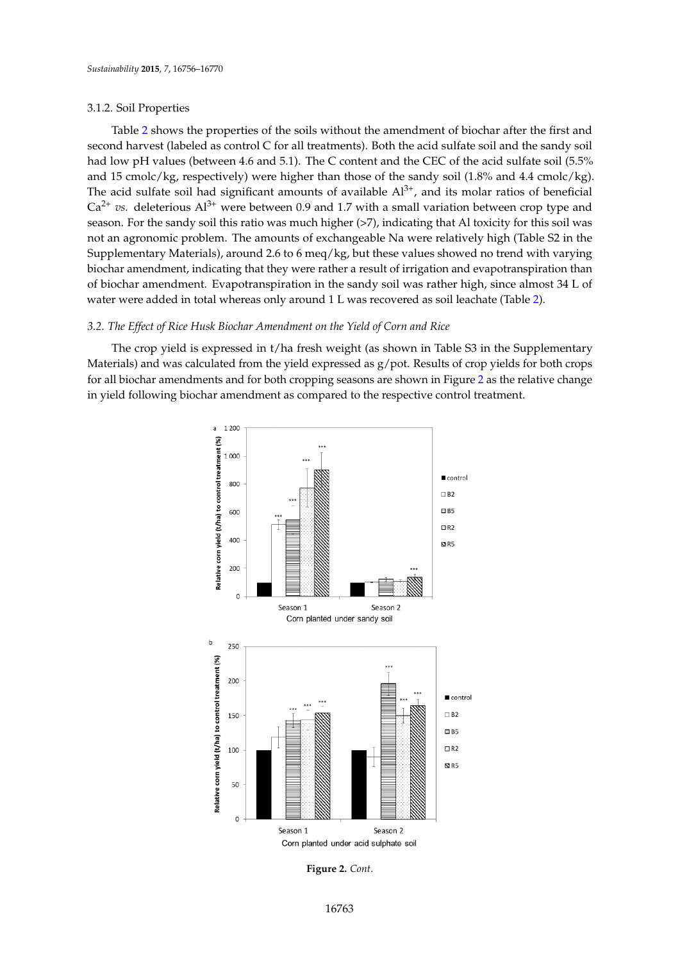## 3.1.2. Soil Properties 3.1.2. Soil Properties

Table 2 shows the properties of the soils without the amendment of biochar after the first and Tabl[e 2](#page-6-1) shows the properties of the soils without the amendment of biochar after the first and second harvest (labeled as control C for all treatments). Both the acid sulfate soil and the sandy soil second harvest (labeled as control C for all treatments). Both the acid sulfate soil and the sandy soil had low pH values (between 4.6 and 5.1). The C content and the CEC of the acid sulfate soil (5.5% had low pH values (between 4.6 and 5.1). The C content and the CEC of the acid sulfate soil (5.5% and 15 cmolc/kg, respectively) were higher than those of the sandy soil (1.8% and 4.4 cmolc/kg). and 15 cmolc/kg, respectively) were higher than those of the sandy soil (1.8% and 4.4 cmolc/kg). The The acid sulfate soil had significant amounts of available  $Al^{3+}$ , and its molar ratios of beneficial  $Ca^{2+}$  *vs.* deleterious  $Al^{3+}$  were between 0.9 and 1.7 with a small variation between crop type and season. For the sandy soil this ratio was much higher (>7), indicating that Al toxicity for this soil was not an agronomic problem. The amounts of exchangeable Na were relatively high (Table S2 in the agronomic problem. The amounts of exchangeable Na were relatively high (Table S2 in the Supplementary Materials), around 2.6 to 6 meq/kg, but these values showed no trend with varying Supplementary Materials), around 2.6 to 6 meq/kg, but these values showed no trend with varying biochar amendment, indicating that they were rather a result of irrigation and evapotranspiration than biochar amendment, indicating that they were rather a result of irrigation and evapotranspiration of biochar amendment. Evapotranspiration in the sandy soil was rather high, since almost 34 L of water were added in total whereas only around 1 L was recovered as soil leachate (Table 2). of water were added in total whereas only around 1 L was recovered as soil leachate (Ta[ble](#page-6-1) 2).

## <span id="page-7-0"></span>*3.2. The Effect of Rice Husk Biochar Amendment on the Yield of Corn and Rice 3.2. The Effect of Rice Husk Biochar Amendment on the Yield of Corn and Rice*

The crop yield is expressed in t/ha fresh weight (as shown in Table S3 in the Supplementary The crop yield is expressed in t/ha fresh weight (as shown in Table S3 in the Supplementary Materials) and was calculated from the yield expressed as g/pot. Results of crop yields for both crops Materials) and was calculated from the yield expressed as g/pot. Results of crop yields for both crops for all biochar amendments and for both cropping seasons are shown in Figure 2 as the relative change for all biochar amendments and for both cropping seasons are shown in F[igu](#page-8-0)re 2 as the relative in yield following biochar amendment as compared to the respective control treatment.



**Figure 2.** *Cont.*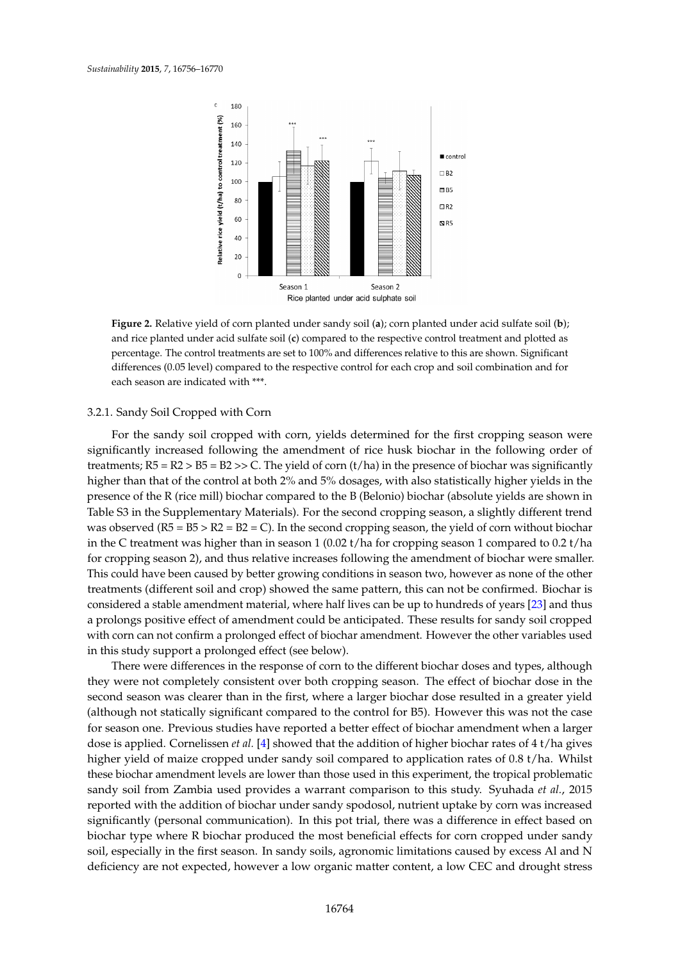<span id="page-8-0"></span>

**Figure 2.** Relative yield of corn planted under sandy soil (a); corn planted under acid sulfate soil (b);  $\frac{1}{2}$ and rice planted under acid sulfate soil (**c**) compared to the respective control treatment and plotted and rice planted under acid sulfate soil (**c**) compared to the respective control treatment and plotted as as percentage. The control treatments are set to 100% and differences relative to this are shown. percentage. The control treatments are set to 100% and differences relative to this are shown. Significant differences (0.05 level) compared to the respective control for each crop and soil combination and for each season are indicated with \*\*\*.

## 3.2.1. Sandy Soil Cropped with Corn 3.2.1. Sandy Soil Cropped with Corn

For the sandy soil cropped with corn, yields determined for the first cropping season were For the sandy soil cropped with corn, yields determined for the first cropping season were significantly increased following the amendment of rice husk biochar in the following order of significantly increased following the amendment of rice husk biochar in the following order of treatments;  $R5 = R2 > B5 = B2 >> C$ . The yield of corn (t/ha) in the presence of biochar was significantly higher than that of the control at both 2% and 5% dosages, with also statistically higher yields in the higher than that of the control at both 2% and 5% dosages, with also statistically higher yields in the presence of the R (rice mill) biochar compared to the B (Belonio) biochar (absolute yields are shown presence of the R (rice mill) biochar compared to the B (Belonio) biochar (absolute yields are shown in in Table S3 in the Supplementary Materials). For the second cropping season, a slightly different trend Table S3 in the Supplementary Materials). For the second cropping season, a slightly different trend was observed ( $R5 = B5 > R2 = B2 = C$ ). In the second cropping season, the yield of corn without biochar in the C treatment was higher than in season 1 (0.02 t/ha for cropping season 1 compared to 0.2 t/ha in the C treatment was higher than in season 1 (0.02 t/ha for cropping season 1 compared to 0.2 t/ha for cropping season 2), and thus relative increases following the amendment of biochar were smaller. for cropping season 2), and thus relative increases following the amendment of biochar were smaller. This could have been caused by better growing conditions in season two, however as none of the This could have been caused by better growing conditions in season two, however as none of the other treatments (different soil and crop) showed the same pattern, this can not be confirmed. Biochar is considered a stable amendment material, where half lives can be up to hundreds of years [\[23\]](#page-14-3) and thus a prolongs positive effect of amendment could be anticipated. These results for sandy soil cropped with corn can not confirm a prolonged effect of biochar amendment. However the other variables used in this study support a prolonged effect (see below).

There were differences in the response of corn to the different biochar doses and types, although There were differences in the response of corn to the different biochar doses and types, although they were not completely consistent over both cropping season. The effect of biochar dose in the they were not completely consistent over both cropping season. The effect of biochar dose in the second season was clearer than in the first, where a larger biochar dose resulted in a greater yield second season was clearer than in the first, where a larger biochar dose resulted in a greater yield (although not statically significant compared to the control for B5). However this was not the case for season one. Previous studies have reported a better effect of biochar amendment when a larger dose is applied. Cornelissen *et al*. [\[4\]](#page-13-3) showed that the addition of higher biochar rates of 4 t/ha gives higher yield of maize cropped under sandy soil compared to application rates of 0.8 t/ha. Whilst biochar amendment levels are lower than those used in this experiment, the tropical problematic these biochar amendment levels are lower than those used in this experiment, the tropical problematic sandy soil from Zambia used provides a warrant comparison to this study. Syuhada *et al.*, 2015 sandy soil from Zambia used provides a warrant comparison to this study. Syuhada *et al.*, 2015 reported with the addition of biochar under sandy spodosol, nutrient uptake by corn was increased reported with the addition of biochar under sandy spodosol, nutrient uptake by corn was increased significantly (personal communication). In this pot trial, there was a difference in effect based on significantly (personal communication). In this pot trial, there was a difference in effect based on biochar type where R biochar produced the most beneficial effects for corn cropped under sandy soil, especially in the first season. In sandy soils, agronomic limitations caused by excess Al and N deficiency are not expected, however a low organic matter content, a low CEC and drought stress deficiency are not expected, however a low organic matter content, a low CEC and drought stress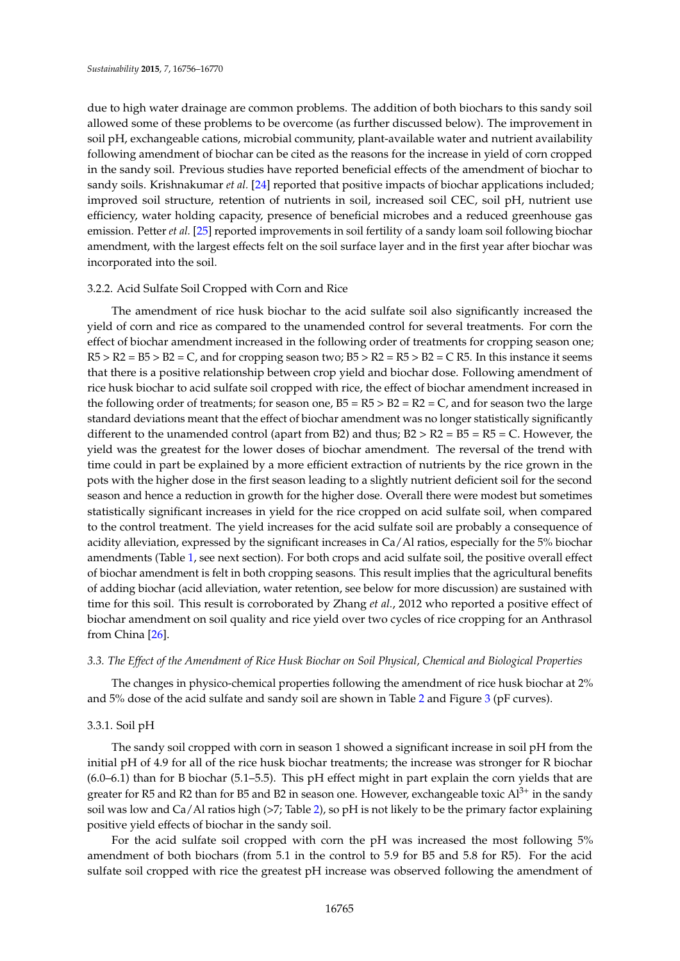due to high water drainage are common problems. The addition of both biochars to this sandy soil allowed some of these problems to be overcome (as further discussed below). The improvement in soil pH, exchangeable cations, microbial community, plant-available water and nutrient availability following amendment of biochar can be cited as the reasons for the increase in yield of corn cropped in the sandy soil. Previous studies have reported beneficial effects of the amendment of biochar to sandy soils. Krishnakumar *et al.* [\[24\]](#page-14-4) reported that positive impacts of biochar applications included; improved soil structure, retention of nutrients in soil, increased soil CEC, soil pH, nutrient use efficiency, water holding capacity, presence of beneficial microbes and a reduced greenhouse gas emission. Petter *et al.* [\[25\]](#page-14-5) reported improvements in soil fertility of a sandy loam soil following biochar amendment, with the largest effects felt on the soil surface layer and in the first year after biochar was incorporated into the soil.

## 3.2.2. Acid Sulfate Soil Cropped with Corn and Rice

The amendment of rice husk biochar to the acid sulfate soil also significantly increased the yield of corn and rice as compared to the unamended control for several treatments. For corn the effect of biochar amendment increased in the following order of treatments for cropping season one;  $R5 > R2 = B5 > B2 = C$ , and for cropping season two;  $B5 > R2 = R5 > B2 = C R5$ . In this instance it seems that there is a positive relationship between crop yield and biochar dose. Following amendment of rice husk biochar to acid sulfate soil cropped with rice, the effect of biochar amendment increased in the following order of treatments; for season one,  $B5 = R5 > B2 = R2 = C$ , and for season two the large standard deviations meant that the effect of biochar amendment was no longer statistically significantly different to the unamended control (apart from B2) and thus;  $B2 > R2 = B5 = R5 = C$ . However, the yield was the greatest for the lower doses of biochar amendment. The reversal of the trend with time could in part be explained by a more efficient extraction of nutrients by the rice grown in the pots with the higher dose in the first season leading to a slightly nutrient deficient soil for the second season and hence a reduction in growth for the higher dose. Overall there were modest but sometimes statistically significant increases in yield for the rice cropped on acid sulfate soil, when compared to the control treatment. The yield increases for the acid sulfate soil are probably a consequence of acidity alleviation, expressed by the significant increases in Ca/Al ratios, especially for the 5% biochar amendments (Table [1,](#page-6-0) see next section). For both crops and acid sulfate soil, the positive overall effect of biochar amendment is felt in both cropping seasons. This result implies that the agricultural benefits of adding biochar (acid alleviation, water retention, see below for more discussion) are sustained with time for this soil. This result is corroborated by Zhang *et al.*, 2012 who reported a positive effect of biochar amendment on soil quality and rice yield over two cycles of rice cropping for an Anthrasol from China [\[26\]](#page-14-6).

### *3.3. The Effect of the Amendment of Rice Husk Biochar on Soil Physical, Chemical and Biological Properties*

The changes in physico-chemical properties following the amendment of rice husk biochar at 2% and 5% dose of the acid sulfate and sandy soil are shown in Table [2](#page-6-1) and Figure [3](#page-10-0) (pF curves).

### 3.3.1. Soil pH

The sandy soil cropped with corn in season 1 showed a significant increase in soil pH from the initial pH of 4.9 for all of the rice husk biochar treatments; the increase was stronger for R biochar (6.0–6.1) than for B biochar (5.1–5.5). This pH effect might in part explain the corn yields that are greater for R5 and R2 than for B5 and B2 in season one. However, exchangeable toxic  $Al^{3+}$  in the sandy soil was low and Ca/Al ratios high (>7; Table [2\)](#page-6-1), so pH is not likely to be the primary factor explaining positive yield effects of biochar in the sandy soil.

For the acid sulfate soil cropped with corn the pH was increased the most following 5% amendment of both biochars (from 5.1 in the control to 5.9 for B5 and 5.8 for R5). For the acid sulfate soil cropped with rice the greatest pH increase was observed following the amendment of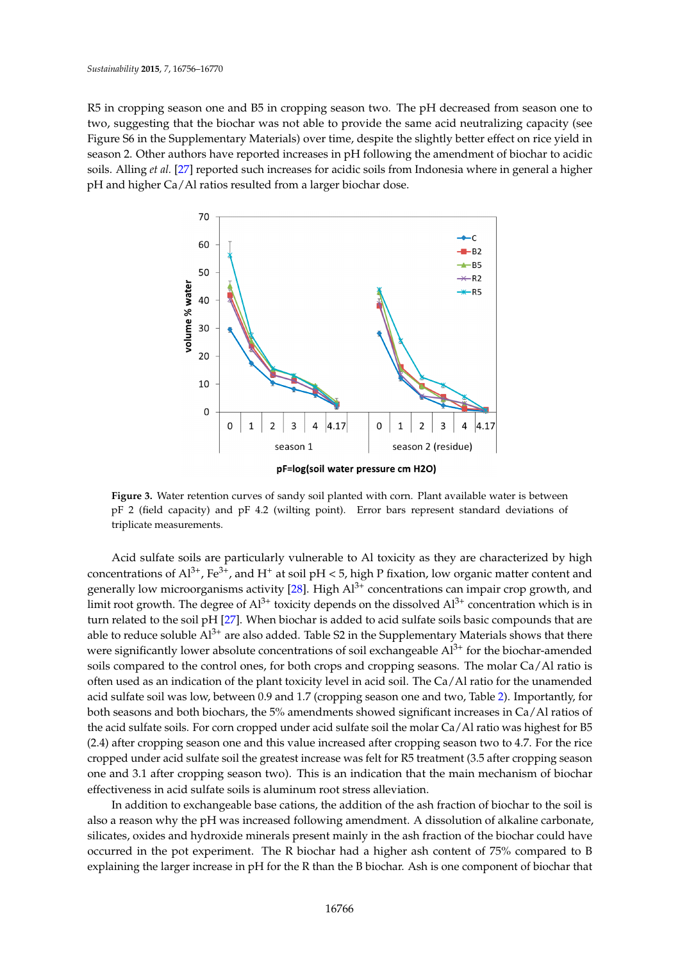R5 in cropping season one and B5 in cropping season two. The pH decreased from season one to two, suggesting that the biochar was not able to provide the same acid neutralizing capacity (see Figure S6 in the Supplementary Materials) over time, despite the slightly better effect on rice yield in season 2. Other authors have reported increases in pH following the amendment of biochar to acidic soils. Alling et al. [27] r[epo](#page-14-7)rted such increases for acidic soils from Indonesia where in general a higher pH and higher Ca/Al ratios resulted from a larger biochar dose. and higher Ca/Al ratios resulted from a larger biochar dose.

<span id="page-10-0"></span>

**Figure 3.** Water retention curves of sandy soil planted with corn. Plant available water is between  $pF$  2 (field capacity) and  $pF$  4.2 (wilting point). Error bars represent standard deviations of triplicate measurements.

Acid sulfate soils are particularly vulnerable to Al toxicity as they are characterized by high Acid sulfate soils are particularly vulnerable to Al toxicity as they are characterized by high concentrations of  $Al^{3+}$ , Fe<sup>3+</sup>, and H<sup>+</sup> at soil pH < 5, high P fixation, low organic matter content and generally low microorganisms activity  $[28]$ . High  $Al^{3+}$  concentrations can impair crop growth, and limit root growth. The degree of  $Al^{3+}$  toxicity depends on the dissolved  $Al^{3+}$  concentration which is in turn related to the soil pH [\[27\]](#page-14-7). When biochar is added to acid sulfate soils basic compounds that are turn related to the soil pH [27]. When biochar is added to acid sulfate soils basic compounds that are able to reduce soluble  $Al^{3+}$  are also added. Table S2 in the Supplementary Materials shows that there were significantly lower absolute concentrations of soil exchangeable  $Al^{3+}$  for the biochar-amended soils compared to the control ones, for both crops and cropping seasons. The molar Ca/Al ratio is often used as an indication of the plant toxicity level in acid soil. The Ca/Al ratio for the unamended often used as an indication of the plant toxicity level in acid soil. The Ca/Al ratio for the unamended acid sulfate soil was low, between 0.9 and 1.7 (cropping season one and two, Ta[ble](#page-6-1) 2). Importantly, acid sulfate soil was low, between 0.9 and 1.7 (cropping season one and two, Table 2). Importantly, for both seasons and both biochars, the 5% amendments showed significant increases in Ca/Al ratios of the acid sulfate soils. For corn cropped under acid sulfate soil the molar Ca/Al ratio was highest for B5 (2.4) after cropping season one and this value increased after cropping season two to 4.7. For the rice cropped under acid sulfate soil the greatest increase was felt for R5 treatment (3.5 after cropping season one and 3.1 after cropping season two). This is an indication that the main mechanism of biochar effectiveness in acid sulfate soils is aluminum root stress alleviation.

In addition to exchangeable base cations, the addition of the ash fraction of biochar to the soil is In addition to exchangeable base cations, the addition of the ash fraction of biochar to the soil is also a reason why the pH was increased following amendment. A dissolution of alkaline carbonate, also a reason why the pH was increased following amendment. A dissolution of alkaline carbonate, silicates, oxides and hydroxide minerals present mainly in the ash fraction of the biochar could have silicates, oxides and hydroxide minerals present mainly in the ash fraction of the biochar could have occurred in the pot experiment. The R biochar had a higher ash content of 75% compared to B occurred in the pot experiment. The R biochar had a higher ash content of 75% compared to B explaining the larger increase in pH for the R than the B biochar. Ash is one component of biochar explaining the larger increase in pH for the R than the B biochar. Ash is one component of biochar that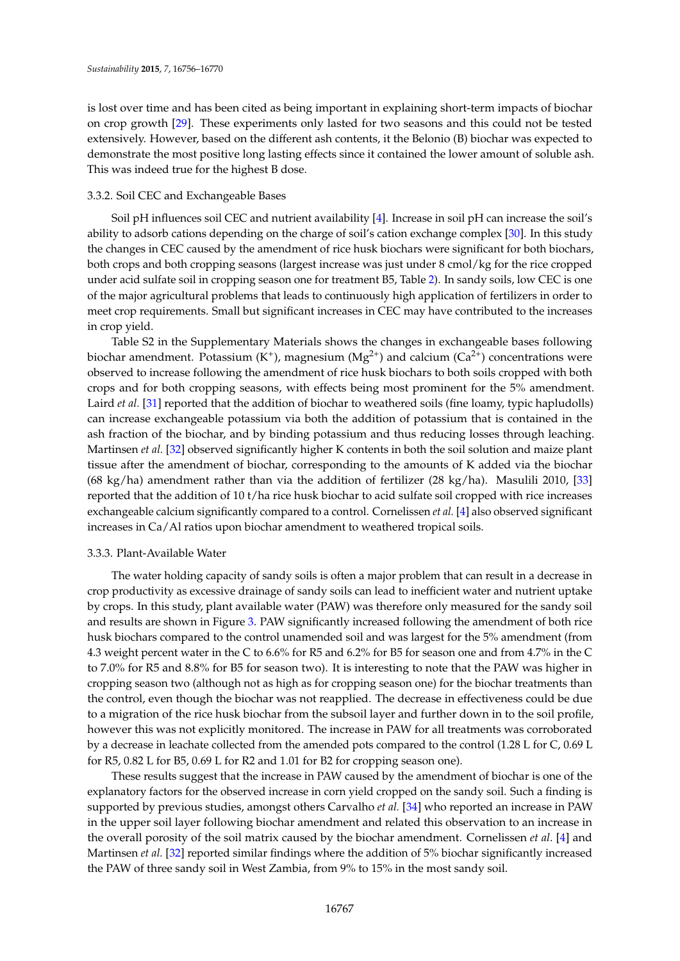is lost over time and has been cited as being important in explaining short-term impacts of biochar on crop growth [\[29\]](#page-14-9). These experiments only lasted for two seasons and this could not be tested extensively. However, based on the different ash contents, it the Belonio (B) biochar was expected to demonstrate the most positive long lasting effects since it contained the lower amount of soluble ash. This was indeed true for the highest B dose.

## 3.3.2. Soil CEC and Exchangeable Bases

Soil pH influences soil CEC and nutrient availability [\[4\]](#page-13-3). Increase in soil pH can increase the soil's ability to adsorb cations depending on the charge of soil's cation exchange complex [\[30\]](#page-14-10). In this study the changes in CEC caused by the amendment of rice husk biochars were significant for both biochars, both crops and both cropping seasons (largest increase was just under 8 cmol/kg for the rice cropped under acid sulfate soil in cropping season one for treatment B5, Table [2\)](#page-6-1). In sandy soils, low CEC is one of the major agricultural problems that leads to continuously high application of fertilizers in order to meet crop requirements. Small but significant increases in CEC may have contributed to the increases in crop yield.

Table S2 in the Supplementary Materials shows the changes in exchangeable bases following biochar amendment. Potassium (K<sup>+</sup>), magnesium (Mg<sup>2+</sup>) and calcium (Ca<sup>2+</sup>) concentrations were observed to increase following the amendment of rice husk biochars to both soils cropped with both crops and for both cropping seasons, with effects being most prominent for the 5% amendment. Laird *et al.* [\[31\]](#page-14-11) reported that the addition of biochar to weathered soils (fine loamy, typic hapludolls) can increase exchangeable potassium via both the addition of potassium that is contained in the ash fraction of the biochar, and by binding potassium and thus reducing losses through leaching. Martinsen *et al.* [\[32\]](#page-14-12) observed significantly higher K contents in both the soil solution and maize plant tissue after the amendment of biochar, corresponding to the amounts of K added via the biochar (68 kg/ha) amendment rather than via the addition of fertilizer (28 kg/ha). Masulili 2010, [\[33\]](#page-14-13) reported that the addition of 10 t/ha rice husk biochar to acid sulfate soil cropped with rice increases exchangeable calcium significantly compared to a control. Cornelissen *et al.* [\[4\]](#page-13-3) also observed significant increases in Ca/Al ratios upon biochar amendment to weathered tropical soils.

## 3.3.3. Plant-Available Water

The water holding capacity of sandy soils is often a major problem that can result in a decrease in crop productivity as excessive drainage of sandy soils can lead to inefficient water and nutrient uptake by crops. In this study, plant available water (PAW) was therefore only measured for the sandy soil and results are shown in Figure [3.](#page-10-0) PAW significantly increased following the amendment of both rice husk biochars compared to the control unamended soil and was largest for the 5% amendment (from 4.3 weight percent water in the C to 6.6% for R5 and 6.2% for B5 for season one and from 4.7% in the C to 7.0% for R5 and 8.8% for B5 for season two). It is interesting to note that the PAW was higher in cropping season two (although not as high as for cropping season one) for the biochar treatments than the control, even though the biochar was not reapplied. The decrease in effectiveness could be due to a migration of the rice husk biochar from the subsoil layer and further down in to the soil profile, however this was not explicitly monitored. The increase in PAW for all treatments was corroborated by a decrease in leachate collected from the amended pots compared to the control (1.28 L for C, 0.69 L for R5, 0.82 L for B5, 0.69 L for R2 and 1.01 for B2 for cropping season one).

These results suggest that the increase in PAW caused by the amendment of biochar is one of the explanatory factors for the observed increase in corn yield cropped on the sandy soil. Such a finding is supported by previous studies, amongst others Carvalho *et al.* [\[34\]](#page-14-14) who reported an increase in PAW in the upper soil layer following biochar amendment and related this observation to an increase in the overall porosity of the soil matrix caused by the biochar amendment. Cornelissen *et al.* [\[4\]](#page-13-3) and Martinsen *et al.* [\[32\]](#page-14-12) reported similar findings where the addition of 5% biochar significantly increased the PAW of three sandy soil in West Zambia, from 9% to 15% in the most sandy soil.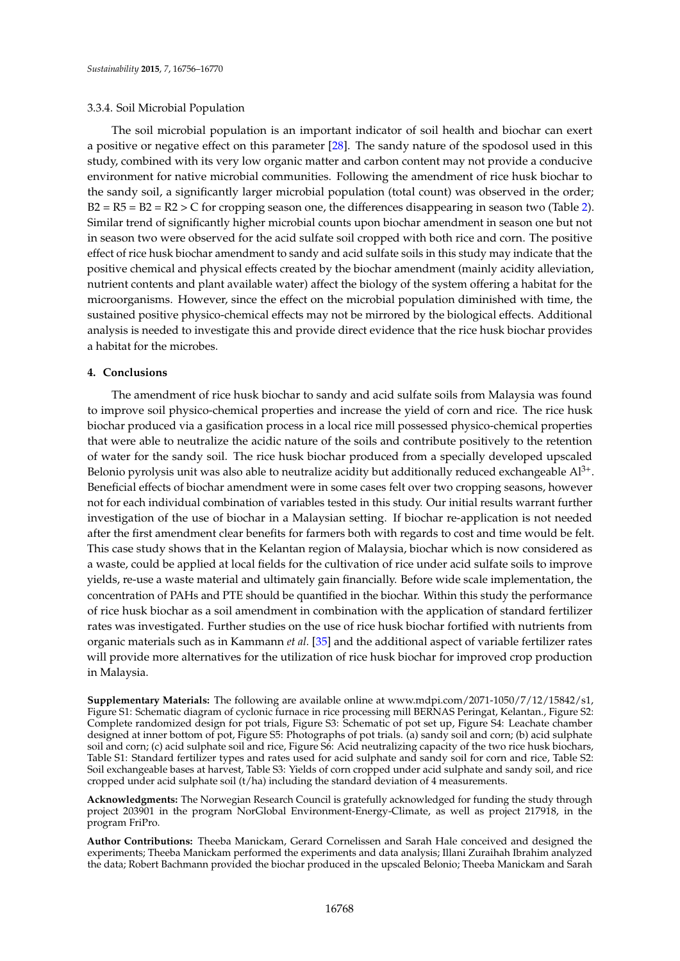## 3.3.4. Soil Microbial Population

The soil microbial population is an important indicator of soil health and biochar can exert a positive or negative effect on this parameter [\[28\]](#page-14-8). The sandy nature of the spodosol used in this study, combined with its very low organic matter and carbon content may not provide a conducive environment for native microbial communities. Following the amendment of rice husk biochar to the sandy soil, a significantly larger microbial population (total count) was observed in the order;  $B2 = R5 = B2 = R2 > C$  for cropping season one, the differences disappearing in season two (Table [2\)](#page-6-1). Similar trend of significantly higher microbial counts upon biochar amendment in season one but not in season two were observed for the acid sulfate soil cropped with both rice and corn. The positive effect of rice husk biochar amendment to sandy and acid sulfate soils in this study may indicate that the positive chemical and physical effects created by the biochar amendment (mainly acidity alleviation, nutrient contents and plant available water) affect the biology of the system offering a habitat for the microorganisms. However, since the effect on the microbial population diminished with time, the sustained positive physico-chemical effects may not be mirrored by the biological effects. Additional analysis is needed to investigate this and provide direct evidence that the rice husk biochar provides a habitat for the microbes.

## **4. Conclusions**

The amendment of rice husk biochar to sandy and acid sulfate soils from Malaysia was found to improve soil physico-chemical properties and increase the yield of corn and rice. The rice husk biochar produced via a gasification process in a local rice mill possessed physico-chemical properties that were able to neutralize the acidic nature of the soils and contribute positively to the retention of water for the sandy soil. The rice husk biochar produced from a specially developed upscaled Belonio pyrolysis unit was also able to neutralize acidity but additionally reduced exchangeable  $Al^{3+}$ . Beneficial effects of biochar amendment were in some cases felt over two cropping seasons, however not for each individual combination of variables tested in this study. Our initial results warrant further investigation of the use of biochar in a Malaysian setting. If biochar re-application is not needed after the first amendment clear benefits for farmers both with regards to cost and time would be felt. This case study shows that in the Kelantan region of Malaysia, biochar which is now considered as a waste, could be applied at local fields for the cultivation of rice under acid sulfate soils to improve yields, re-use a waste material and ultimately gain financially. Before wide scale implementation, the concentration of PAHs and PTE should be quantified in the biochar. Within this study the performance of rice husk biochar as a soil amendment in combination with the application of standard fertilizer rates was investigated. Further studies on the use of rice husk biochar fortified with nutrients from organic materials such as in Kammann *et al.* [\[35\]](#page-14-15) and the additional aspect of variable fertilizer rates will provide more alternatives for the utilization of rice husk biochar for improved crop production in Malaysia.

**Supplementary Materials:** The following are available online at www.mdpi.com/2071-1050/7/12/15842/s1, Figure S1: Schematic diagram of cyclonic furnace in rice processing mill BERNAS Peringat, Kelantan., Figure S2: Complete randomized design for pot trials, Figure S3: Schematic of pot set up, Figure S4: Leachate chamber designed at inner bottom of pot, Figure S5: Photographs of pot trials. (a) sandy soil and corn; (b) acid sulphate soil and corn; (c) acid sulphate soil and rice, Figure S6: Acid neutralizing capacity of the two rice husk biochars, Table S1: Standard fertilizer types and rates used for acid sulphate and sandy soil for corn and rice, Table S2: Soil exchangeable bases at harvest, Table S3: Yields of corn cropped under acid sulphate and sandy soil, and rice cropped under acid sulphate soil (t/ha) including the standard deviation of 4 measurements.

**Acknowledgments:** The Norwegian Research Council is gratefully acknowledged for funding the study through project 203901 in the program NorGlobal Environment-Energy-Climate, as well as project 217918, in the program FriPro.

**Author Contributions:** Theeba Manickam, Gerard Cornelissen and Sarah Hale conceived and designed the experiments; Theeba Manickam performed the experiments and data analysis; Illani Zuraihah Ibrahim analyzed the data; Robert Bachmann provided the biochar produced in the upscaled Belonio; Theeba Manickam and Sarah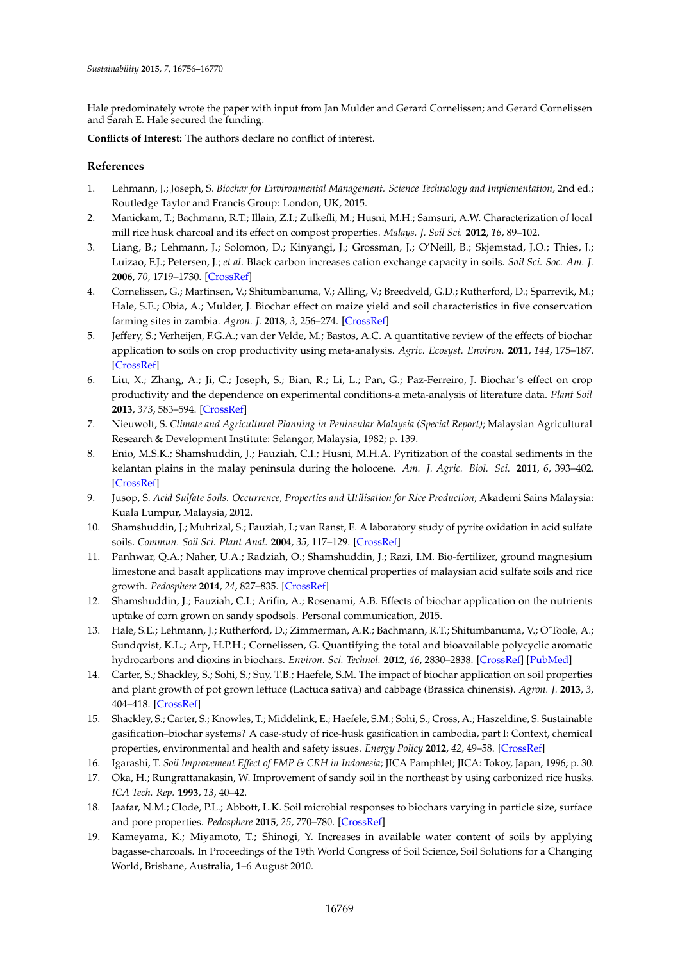Hale predominately wrote the paper with input from Jan Mulder and Gerard Cornelissen; and Gerard Cornelissen and Sarah E. Hale secured the funding.

**Conflicts of Interest:** The authors declare no conflict of interest.

## **References**

- <span id="page-13-0"></span>1. Lehmann, J.; Joseph, S. *Biochar for Environmental Management. Science Technology and Implementation*, 2nd ed.; Routledge Taylor and Francis Group: London, UK, 2015.
- <span id="page-13-1"></span>2. Manickam, T.; Bachmann, R.T.; Illain, Z.I.; Zulkefli, M.; Husni, M.H.; Samsuri, A.W. Characterization of local mill rice husk charcoal and its effect on compost properties. *Malays. J. Soil Sci.* **2012**, *16*, 89–102.
- <span id="page-13-2"></span>3. Liang, B.; Lehmann, J.; Solomon, D.; Kinyangi, J.; Grossman, J.; O'Neill, B.; Skjemstad, J.O.; Thies, J.; Luizao, F.J.; Petersen, J.; *et al*. Black carbon increases cation exchange capacity in soils. *Soil Sci. Soc. Am. J.* **2006**, *70*, 1719–1730. [\[CrossRef\]](http://dx.doi.org/10.2136/sssaj2005.0383)
- <span id="page-13-3"></span>4. Cornelissen, G.; Martinsen, V.; Shitumbanuma, V.; Alling, V.; Breedveld, G.D.; Rutherford, D.; Sparrevik, M.; Hale, S.E.; Obia, A.; Mulder, J. Biochar effect on maize yield and soil characteristics in five conservation farming sites in zambia. *Agron. J.* **2013**, *3*, 256–274. [\[CrossRef\]](http://dx.doi.org/10.3390/agronomy3020256)
- <span id="page-13-4"></span>5. Jeffery, S.; Verheijen, F.G.A.; van der Velde, M.; Bastos, A.C. A quantitative review of the effects of biochar application to soils on crop productivity using meta-analysis. *Agric. Ecosyst. Environ.* **2011**, *144*, 175–187. [\[CrossRef\]](http://dx.doi.org/10.1016/j.agee.2011.08.015)
- <span id="page-13-5"></span>6. Liu, X.; Zhang, A.; Ji, C.; Joseph, S.; Bian, R.; Li, L.; Pan, G.; Paz-Ferreiro, J. Biochar's effect on crop productivity and the dependence on experimental conditions-a meta-analysis of literature data. *Plant Soil* **2013**, *373*, 583–594. [\[CrossRef\]](http://dx.doi.org/10.1007/s11104-013-1806-x)
- <span id="page-13-6"></span>7. Nieuwolt, S. *Climate and Agricultural Planning in Peninsular Malaysia (Special Report)*; Malaysian Agricultural Research & Development Institute: Selangor, Malaysia, 1982; p. 139.
- <span id="page-13-7"></span>8. Enio, M.S.K.; Shamshuddin, J.; Fauziah, C.I.; Husni, M.H.A. Pyritization of the coastal sediments in the kelantan plains in the malay peninsula during the holocene. *Am. J. Agric. Biol. Sci.* **2011**, *6*, 393–402. [\[CrossRef\]](http://dx.doi.org/10.3844/ajabssp.2011.393.402)
- <span id="page-13-8"></span>9. Jusop, S. *Acid Sulfate Soils. Occurrence, Properties and Utilisation for Rice Production*; Akademi Sains Malaysia: Kuala Lumpur, Malaysia, 2012.
- <span id="page-13-9"></span>10. Shamshuddin, J.; Muhrizal, S.; Fauziah, I.; van Ranst, E. A laboratory study of pyrite oxidation in acid sulfate soils. *Commun. Soil Sci. Plant Anal.* **2004**, *35*, 117–129. [\[CrossRef\]](http://dx.doi.org/10.1081/CSS-120027638)
- <span id="page-13-10"></span>11. Panhwar, Q.A.; Naher, U.A.; Radziah, O.; Shamshuddin, J.; Razi, I.M. Bio-fertilizer, ground magnesium limestone and basalt applications may improve chemical properties of malaysian acid sulfate soils and rice growth. *Pedosphere* **2014**, *24*, 827–835. [\[CrossRef\]](http://dx.doi.org/10.1016/S1002-0160(14)60070-9)
- <span id="page-13-11"></span>12. Shamshuddin, J.; Fauziah, C.I.; Arifin, A.; Rosenami, A.B. Effects of biochar application on the nutrients uptake of corn grown on sandy spodsols. Personal communication, 2015.
- <span id="page-13-12"></span>13. Hale, S.E.; Lehmann, J.; Rutherford, D.; Zimmerman, A.R.; Bachmann, R.T.; Shitumbanuma, V.; O'Toole, A.; Sundqvist, K.L.; Arp, H.P.H.; Cornelissen, G. Quantifying the total and bioavailable polycyclic aromatic hydrocarbons and dioxins in biochars. *Environ. Sci. Technol.* **2012**, *46*, 2830–2838. [\[CrossRef\]](http://dx.doi.org/10.1021/es203984k) [\[PubMed\]](http://www.ncbi.nlm.nih.gov/pubmed/22321025)
- <span id="page-13-13"></span>14. Carter, S.; Shackley, S.; Sohi, S.; Suy, T.B.; Haefele, S.M. The impact of biochar application on soil properties and plant growth of pot grown lettuce (Lactuca sativa) and cabbage (Brassica chinensis). *Agron. J.* **2013**, *3*, 404–418. [\[CrossRef\]](http://dx.doi.org/10.3390/agronomy3020404)
- <span id="page-13-14"></span>15. Shackley, S.; Carter, S.; Knowles, T.; Middelink, E.; Haefele, S.M.; Sohi, S.; Cross, A.; Haszeldine, S. Sustainable gasification–biochar systems? A case-study of rice-husk gasification in cambodia, part I: Context, chemical properties, environmental and health and safety issues. *Energy Policy* **2012**, *42*, 49–58. [\[CrossRef\]](http://dx.doi.org/10.1016/j.enpol.2011.11.026)
- <span id="page-13-15"></span>16. Igarashi, T. *Soil Improvement Effect of FMP & CRH in Indonesia*; JICA Pamphlet; JICA: Tokoy, Japan, 1996; p. 30.
- <span id="page-13-16"></span>17. Oka, H.; Rungrattanakasin, W. Improvement of sandy soil in the northeast by using carbonized rice husks. *ICA Tech. Rep.* **1993**, *13*, 40–42.
- <span id="page-13-17"></span>18. Jaafar, N.M.; Clode, P.L.; Abbott, L.K. Soil microbial responses to biochars varying in particle size, surface and pore properties. *Pedosphere* **2015**, *25*, 770–780. [\[CrossRef\]](http://dx.doi.org/10.1016/S1002-0160(15)30058-8)
- <span id="page-13-18"></span>19. Kameyama, K.; Miyamoto, T.; Shinogi, Y. Increases in available water content of soils by applying bagasse-charcoals. In Proceedings of the 19th World Congress of Soil Science, Soil Solutions for a Changing World, Brisbane, Australia, 1–6 August 2010.